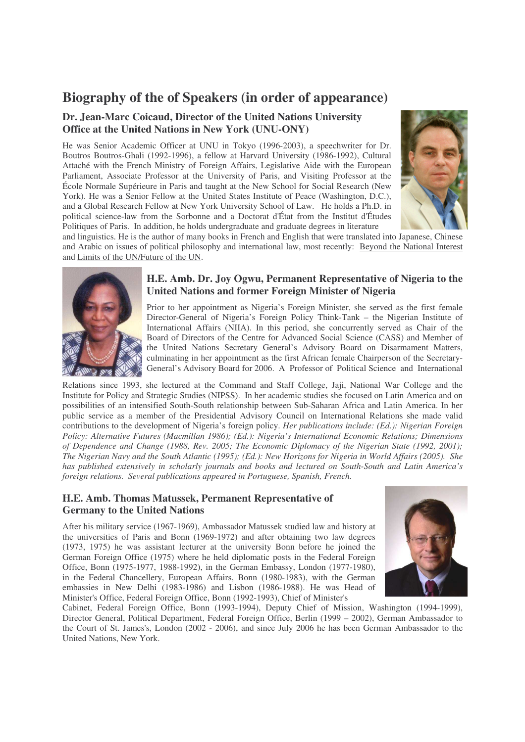## **Biography of the of Speakers (in order of appearance)**

### **Dr. Jean-Marc Coicaud, Director of the United Nations University Office at the United Nations in New York (UNU-ONY)**

He was Senior Academic Officer at UNU in Tokyo (1996-2003), a speechwriter for Dr. Boutros Boutros-Ghali (1992-1996), a fellow at Harvard University (1986-1992), Cultural Attaché with the French Ministry of Foreign Affairs, Legislative Aide with the European Parliament, Associate Professor at the University of Paris, and Visiting Professor at the École Normale Supérieure in Paris and taught at the New School for Social Research (New York). He was a Senior Fellow at the United States Institute of Peace (Washington, D.C.), and a Global Research Fellow at New York University School of Law. He holds a Ph.D. in political science-law from the Sorbonne and a Doctorat d'État from the Institut d'Études Politiques of Paris. In addition, he holds undergraduate and graduate degrees in literature



and linguistics. He is the author of many books in French and English that were translated into Japanese, Chinese and Arabic on issues of political philosophy and international law, most recently: Beyond the National Interest and Limits of the UN/Future of the UN.



#### **H.E. Amb. Dr. Joy Ogwu, Permanent Representative of Nigeria to the United Nations and former Foreign Minister of Nigeria**

Prior to her appointment as Nigeria's Foreign Minister, she served as the first female Director-General of Nigeria's Foreign Policy Think-Tank – the Nigerian Institute of International Affairs (NIIA). In this period, she concurrently served as Chair of the Board of Directors of the Centre for Advanced Social Science (CASS) and Member of the United Nations Secretary General's Advisory Board on Disarmament Matters, culminating in her appointment as the first African female Chairperson of the Secretary-General's Advisory Board for 2006. A Professor of Political Science and International

Relations since 1993, she lectured at the Command and Staff College, Jaji, National War College and the Institute for Policy and Strategic Studies (NIPSS). In her academic studies she focused on Latin America and on possibilities of an intensified South-South relationship between Sub-Saharan Africa and Latin America. In her public service as a member of the Presidential Advisory Council on International Relations she made valid contributions to the development of Nigeria's foreign policy. *Her publications include: (Ed.): Nigerian Foreign Policy: Alternative Futures (Macmillan 1986); (Ed.): Nigeria's International Economic Relations; Dimensions of Dependence and Change (1988, Rev. 2005; The Economic Diplomacy of the Nigerian State (1992, 2001);* The Nigerian Navy and the South Atlantic (1995); (Ed.): New Horizons for Nigeria in World Affairs (2005). She *has published extensively in scholarly journals and books and lectured on South-South and Latin America's foreign relations. Several publications appeared in Portuguese, Spanish, French.*

### **H.E. Amb. Thomas Matussek, Permanent Representative of Germany to the United Nations**

After his military service (1967-1969), Ambassador Matussek studied law and history at the universities of Paris and Bonn (1969-1972) and after obtaining two law degrees (1973, 1975) he was assistant lecturer at the university Bonn before he joined the German Foreign Office (1975) where he held diplomatic posts in the Federal Foreign Office, Bonn (1975-1977, 1988-1992), in the German Embassy, London (1977-1980), in the Federal Chancellery, European Affairs, Bonn (1980-1983), with the German embassies in New Delhi (1983-1986) and Lisbon (1986-1988). He was Head of Minister's Office, Federal Foreign Office, Bonn (1992-1993), Chief of Minister's



Cabinet, Federal Foreign Office, Bonn (1993-1994), Deputy Chief of Mission, Washington (1994-1999), Director General, Political Department, Federal Foreign Office, Berlin (1999 – 2002), German Ambassador to the Court of St. James's, London (2002 - 2006), and since July 2006 he has been German Ambassador to the United Nations, New York.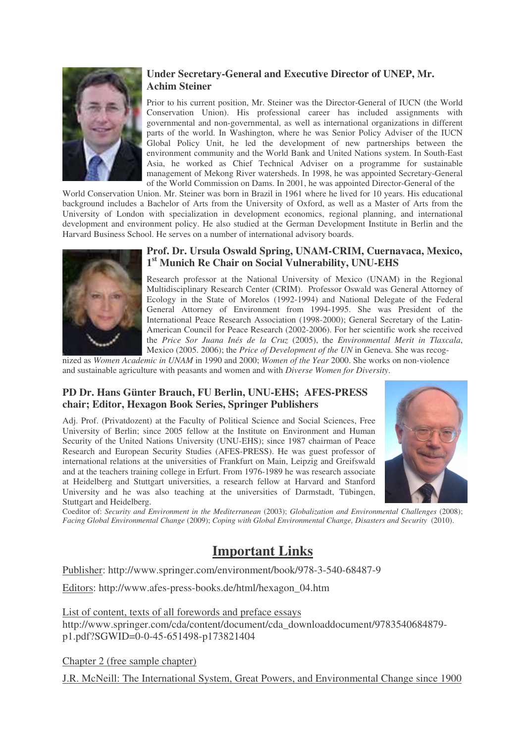

### **Under Secretary-General and Executive Director of UNEP, Mr. Achim Steiner**

Prior to his current position, Mr. Steiner was the Director-General of IUCN (the World Conservation Union). His professional career has included assignments with governmental and non-governmental, as well as international organizations in different parts of the world. In Washington, where he was Senior Policy Adviser of the IUCN Global Policy Unit, he led the development of new partnerships between the environment community and the World Bank and United Nations system. In South-East Asia, he worked as Chief Technical Adviser on a programme for sustainable management of Mekong River watersheds. In 1998, he was appointed Secretary-General of the World Commission on Dams. In 2001, he was appointed Director-General of the

World Conservation Union. Mr. Steiner was born in Brazil in 1961 where he lived for 10 years. His educational background includes a Bachelor of Arts from the University of Oxford, as well as a Master of Arts from the University of London with specialization in development economics, regional planning, and international development and environment policy. He also studied at the German Development Institute in Berlin and the Harvard Business School. He serves on a number of international advisory boards.



### **Prof. Dr. Ursula Oswald Spring, UNAM-CRIM, Cuernavaca, Mexico, 1 st Munich Re Chair on Social Vulnerability, UNU-EHS**

Research professor at the National University of Mexico (UNAM) in the Regional Multidisciplinary Research Center (CRIM). Professor Oswald was General Attorney of Ecology in the State of Morelos (1992-1994) and National Delegate of the Federal General Attorney of Environment from 1994-1995. She was President of the International Peace Research Association (1998-2000); General Secretary of the Latin-American Council for Peace Research (2002-2006). For her scientific work she received the *Price Sor Juana Inés de la Cruz* (2005), the *Environmental Merit in Tlaxcala*, Mexico (2005. 2006); the *Price of Development of the UN* in Geneva. She was recog-

nized as *Women Academic in UNAM* in 1990 and 2000; *Women of the Year* 2000. She works on non-violence and sustainable agriculture with peasants and women and with *Diverse Women for Diversity*.

### **PD Dr. Hans Günter Brauch, FU Berlin, UNU-EHS; AFES-PRESS chair; Editor, Hexagon Book Series, Springer Publishers**

Adj. Prof. (Privatdozent) at the Faculty of Political Science and Social Sciences, Free University of Berlin; since 2005 fellow at the Institute on Environment and Human Security of the United Nations University (UNU-EHS); since 1987 chairman of Peace Research and European Security Studies (AFES-PRESS). He was guest professor of international relations at the universities of Frankfurt on Main, Leipzig and Greifswald and at the teachers training college in Erfurt. From 1976-1989 he was research associate at Heidelberg and Stuttgart universities, a research fellow at Harvard and Stanford University and he was also teaching at the universities of Darmstadt, Tübingen, Stuttgart and Heidelberg.



Coeditor of: *Security and Environment in the Mediterranean* (2003); *Globalization and Environmental Challenges* (2008); *Facing Global Environmental Change* (2009); *Coping with Global Environmental Change, Disasters and Security* (2010).

# **Important Links**

Publisher: http://www.springer.com/environment/book/978-3-540-68487-9

Editors: http://www.afes-press-books.de/html/hexagon\_04.htm

List of content, texts of all forewords and preface essays http://www.springer.com/cda/content/document/cda\_downloaddocument/9783540684879 p1.pdf?SGWID=0-0-45-651498-p173821404

Chapter 2 (free sample chapter)

J.R. McNeill: The International System, Great Powers, and Environmental Change since 1900